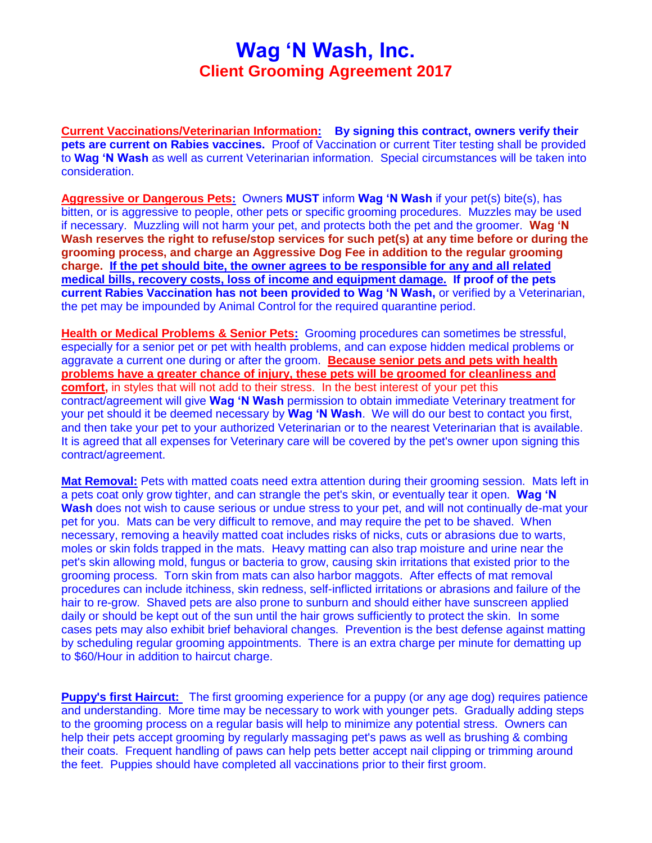## **Wag 'N Wash, Inc. Client Grooming Agreement 2017**

**Current Vaccinations/Veterinarian Information: By signing this contract, owners verify their pets are current on Rabies vaccines.** Proof of Vaccination or current Titer testing shall be provided to **Wag 'N Wash** as well as current Veterinarian information. Special circumstances will be taken into consideration.

**Aggressive or Dangerous Pets:** Owners **MUST** inform **Wag 'N Wash** if your pet(s) bite(s), has bitten, or is aggressive to people, other pets or specific grooming procedures. Muzzles may be used if necessary. Muzzling will not harm your pet, and protects both the pet and the groomer. **Wag 'N Wash reserves the right to refuse/stop services for such pet(s) at any time before or during the grooming process, and charge an Aggressive Dog Fee in addition to the regular grooming charge. If the pet should bite, the owner agrees to be responsible for any and all related medical bills, recovery costs, loss of income and equipment damage. If proof of the pets current Rabies Vaccination has not been provided to Wag 'N Wash,** or verified by a Veterinarian, the pet may be impounded by Animal Control for the required quarantine period.

**Health or Medical Problems & Senior Pets:** Grooming procedures can sometimes be stressful, especially for a senior pet or pet with health problems, and can expose hidden medical problems or aggravate a current one during or after the groom. **Because senior pets and pets with health problems have a greater chance of injury, these pets will be groomed for cleanliness and comfort,** in styles that will not add to their stress. In the best interest of your pet this contract/agreement will give **Wag 'N Wash** permission to obtain immediate Veterinary treatment for your pet should it be deemed necessary by **Wag 'N Wash**. We will do our best to contact you first, and then take your pet to your authorized Veterinarian or to the nearest Veterinarian that is available. It is agreed that all expenses for Veterinary care will be covered by the pet's owner upon signing this contract/agreement.

**Mat Removal:** Pets with matted coats need extra attention during their grooming session. Mats left in a pets coat only grow tighter, and can strangle the pet's skin, or eventually tear it open. **Wag 'N Wash** does not wish to cause serious or undue stress to your pet, and will not continually de-mat your pet for you. Mats can be very difficult to remove, and may require the pet to be shaved. When necessary, removing a heavily matted coat includes risks of nicks, cuts or abrasions due to warts, moles or skin folds trapped in the mats. Heavy matting can also trap moisture and urine near the pet's skin allowing mold, fungus or bacteria to grow, causing skin irritations that existed prior to the grooming process. Torn skin from mats can also harbor maggots. After effects of mat removal procedures can include itchiness, skin redness, self-inflicted irritations or abrasions and failure of the hair to re-grow. Shaved pets are also prone to sunburn and should either have sunscreen applied daily or should be kept out of the sun until the hair grows sufficiently to protect the skin. In some cases pets may also exhibit brief behavioral changes. Prevention is the best defense against matting by scheduling regular grooming appointments. There is an extra charge per minute for dematting up to \$60/Hour in addition to haircut charge.

**Puppy's first Haircut:** The first grooming experience for a puppy (or any age dog) requires patience and understanding. More time may be necessary to work with younger pets. Gradually adding steps to the grooming process on a regular basis will help to minimize any potential stress. Owners can help their pets accept grooming by regularly massaging pet's paws as well as brushing & combing their coats. Frequent handling of paws can help pets better accept nail clipping or trimming around the feet. Puppies should have completed all vaccinations prior to their first groom.